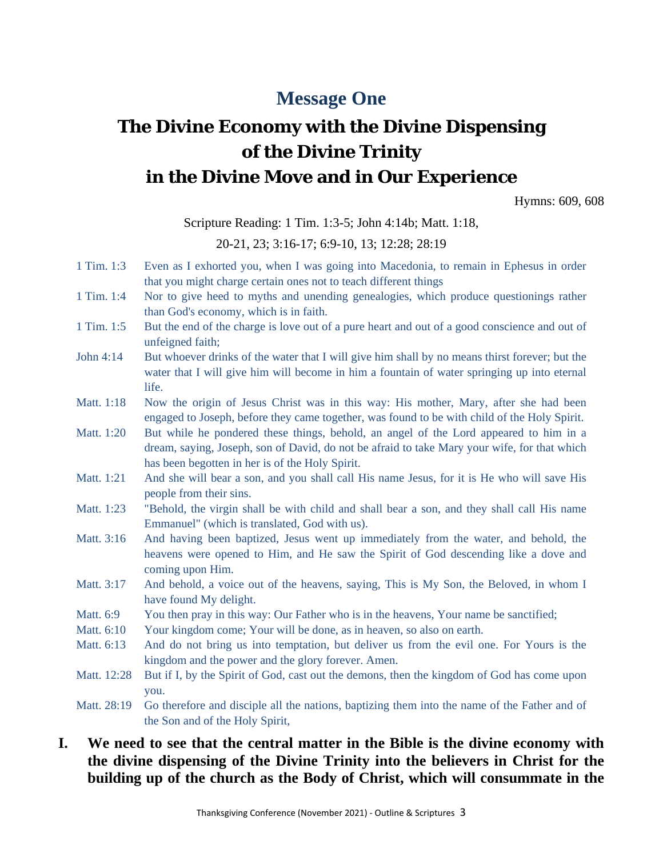# **Message One**

# **The Divine Economy with the Divine Dispensing of the Divine Trinity in the Divine Move and in Our Experience**

Hymns: 609, 608

Scripture Reading: 1 Tim. 1:3-5; John 4:14b; Matt. 1:18,

20-21, 23; 3:16-17; 6:9-10, 13; 12:28; 28:19

- 1 Tim. 1:3 Even as I exhorted you, when I was going into Macedonia, to remain in Ephesus in order that you might charge certain ones not to teach different things
- 1 Tim. 1:4 Nor to give heed to myths and unending genealogies, which produce questionings rather than God's economy, which is in faith.
- 1 Tim. 1:5 But the end of the charge is love out of a pure heart and out of a good conscience and out of unfeigned faith;
- John 4:14 But whoever drinks of the water that I will give him shall by no means thirst forever; but the water that I will give him will become in him a fountain of water springing up into eternal life.
- Matt. 1:18 Now the origin of Jesus Christ was in this way: His mother, Mary, after she had been engaged to Joseph, before they came together, was found to be with child of the Holy Spirit.
- Matt. 1:20 But while he pondered these things, behold, an angel of the Lord appeared to him in a dream, saying, Joseph, son of David, do not be afraid to take Mary your wife, for that which has been begotten in her is of the Holy Spirit.
- Matt. 1:21 And she will bear a son, and you shall call His name Jesus, for it is He who will save His people from their sins.
- Matt. 1:23 "Behold, the virgin shall be with child and shall bear a son, and they shall call His name Emmanuel" (which is translated, God with us).
- Matt. 3:16 And having been baptized, Jesus went up immediately from the water, and behold, the heavens were opened to Him, and He saw the Spirit of God descending like a dove and coming upon Him.
- Matt. 3:17 And behold, a voice out of the heavens, saying, This is My Son, the Beloved, in whom I have found My delight.
- Matt. 6:9 You then pray in this way: Our Father who is in the heavens, Your name be sanctified;
- Matt. 6:10 Your kingdom come; Your will be done, as in heaven, so also on earth.
- Matt. 6:13 And do not bring us into temptation, but deliver us from the evil one. For Yours is the kingdom and the power and the glory forever. Amen.
- Matt. 12:28 But if I, by the Spirit of God, cast out the demons, then the kingdom of God has come upon you.

Matt. 28:19 Go therefore and disciple all the nations, baptizing them into the name of the Father and of the Son and of the Holy Spirit,

## **I. We need to see that the central matter in the Bible is the divine economy with the divine dispensing of the Divine Trinity into the believers in Christ for the building up of the church as the Body of Christ, which will consummate in the**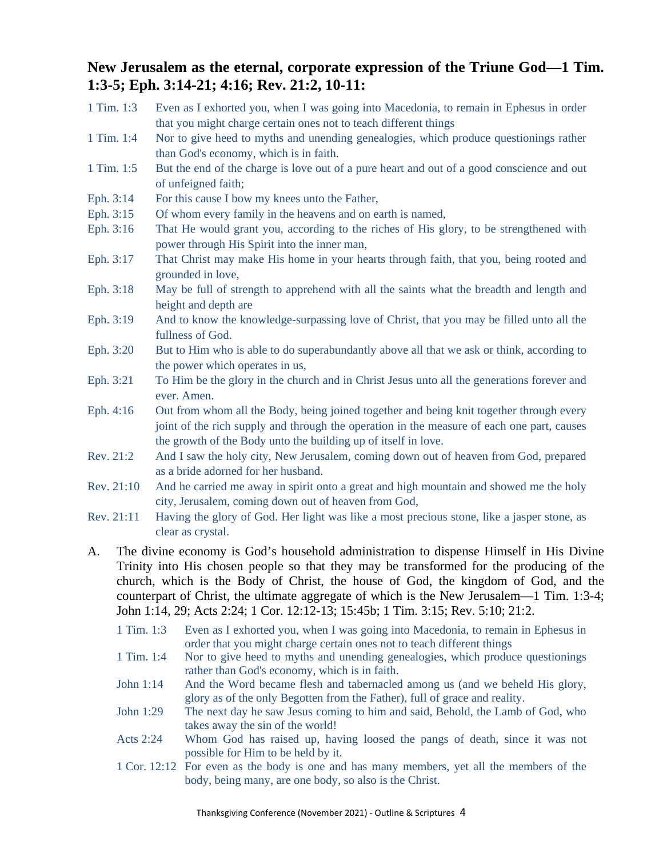# **New Jerusalem as the eternal, corporate expression of the Triune God—1 Tim. 1:3-5; Eph. 3:14-21; 4:16; Rev. 21:2, 10-11:**

- 1 Tim. 1:3 Even as I exhorted you, when I was going into Macedonia, to remain in Ephesus in order that you might charge certain ones not to teach different things
- 1 Tim. 1:4 Nor to give heed to myths and unending genealogies, which produce questionings rather than God's economy, which is in faith.
- 1 Tim. 1:5 But the end of the charge is love out of a pure heart and out of a good conscience and out of unfeigned faith;
- Eph. 3:14 For this cause I bow my knees unto the Father,
- Eph. 3:15 Of whom every family in the heavens and on earth is named,
- Eph. 3:16 That He would grant you, according to the riches of His glory, to be strengthened with power through His Spirit into the inner man,
- Eph. 3:17 That Christ may make His home in your hearts through faith, that you, being rooted and grounded in love,
- Eph. 3:18 May be full of strength to apprehend with all the saints what the breadth and length and height and depth are
- Eph. 3:19 And to know the knowledge-surpassing love of Christ, that you may be filled unto all the fullness of God.
- Eph. 3:20 But to Him who is able to do superabundantly above all that we ask or think, according to the power which operates in us,
- Eph. 3:21 To Him be the glory in the church and in Christ Jesus unto all the generations forever and ever. Amen.
- Eph. 4:16 Out from whom all the Body, being joined together and being knit together through every joint of the rich supply and through the operation in the measure of each one part, causes the growth of the Body unto the building up of itself in love.
- Rev. 21:2 And I saw the holy city, New Jerusalem, coming down out of heaven from God, prepared as a bride adorned for her husband.
- Rev. 21:10 And he carried me away in spirit onto a great and high mountain and showed me the holy city, Jerusalem, coming down out of heaven from God,
- Rev. 21:11 Having the glory of God. Her light was like a most precious stone, like a jasper stone, as clear as crystal.
- A. The divine economy is God's household administration to dispense Himself in His Divine Trinity into His chosen people so that they may be transformed for the producing of the church, which is the Body of Christ, the house of God, the kingdom of God, and the counterpart of Christ, the ultimate aggregate of which is the New Jerusalem—1 Tim. 1:3-4; John 1:14, 29; Acts 2:24; 1 Cor. 12:12-13; 15:45b; 1 Tim. 3:15; Rev. 5:10; 21:2.
	- 1 Tim. 1:3 Even as I exhorted you, when I was going into Macedonia, to remain in Ephesus in order that you might charge certain ones not to teach different things
	- 1 Tim. 1:4 Nor to give heed to myths and unending genealogies, which produce questionings rather than God's economy, which is in faith.
	- John 1:14 And the Word became flesh and tabernacled among us (and we beheld His glory, glory as of the only Begotten from the Father), full of grace and reality.
	- John 1:29 The next day he saw Jesus coming to him and said, Behold, the Lamb of God, who takes away the sin of the world!
	- Acts 2:24 Whom God has raised up, having loosed the pangs of death, since it was not possible for Him to be held by it.
	- 1 Cor. 12:12 For even as the body is one and has many members, yet all the members of the body, being many, are one body, so also is the Christ.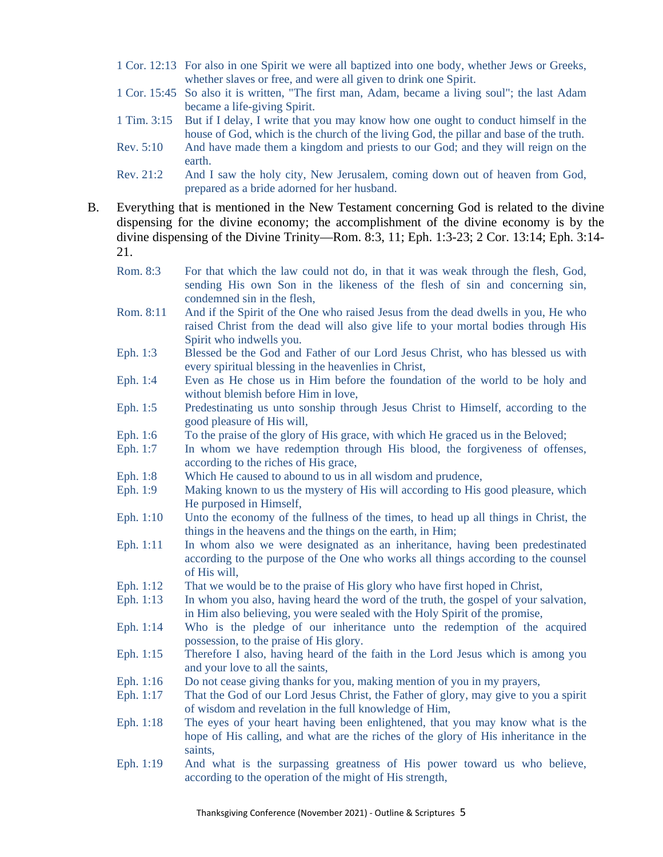- 1 Cor. 12:13 For also in one Spirit we were all baptized into one body, whether Jews or Greeks, whether slaves or free, and were all given to drink one Spirit.
- 1 Cor. 15:45 So also it is written, "The first man, Adam, became a living soul"; the last Adam became a life-giving Spirit.
- 1 Tim. 3:15 But if I delay, I write that you may know how one ought to conduct himself in the house of God, which is the church of the living God, the pillar and base of the truth.
- Rev. 5:10 And have made them a kingdom and priests to our God; and they will reign on the earth.
- Rev. 21:2 And I saw the holy city, New Jerusalem, coming down out of heaven from God, prepared as a bride adorned for her husband.
- B. Everything that is mentioned in the New Testament concerning God is related to the divine dispensing for the divine economy; the accomplishment of the divine economy is by the divine dispensing of the Divine Trinity—Rom. 8:3, 11; Eph. 1:3-23; 2 Cor. 13:14; Eph. 3:14- 21.
	- Rom. 8:3 For that which the law could not do, in that it was weak through the flesh, God, sending His own Son in the likeness of the flesh of sin and concerning sin, condemned sin in the flesh,
	- Rom. 8:11 And if the Spirit of the One who raised Jesus from the dead dwells in you, He who raised Christ from the dead will also give life to your mortal bodies through His Spirit who indwells you.
	- Eph. 1:3 Blessed be the God and Father of our Lord Jesus Christ, who has blessed us with every spiritual blessing in the heavenlies in Christ,
	- Eph. 1:4 Even as He chose us in Him before the foundation of the world to be holy and without blemish before Him in love,
	- Eph. 1:5 Predestinating us unto sonship through Jesus Christ to Himself, according to the good pleasure of His will,
	- Eph. 1:6 To the praise of the glory of His grace, with which He graced us in the Beloved;
	- Eph. 1:7 In whom we have redemption through His blood, the forgiveness of offenses, according to the riches of His grace,
	- Eph. 1:8 Which He caused to abound to us in all wisdom and prudence,
	- Eph. 1:9 Making known to us the mystery of His will according to His good pleasure, which He purposed in Himself,
	- Eph. 1:10 Unto the economy of the fullness of the times, to head up all things in Christ, the things in the heavens and the things on the earth, in Him;
	- Eph. 1:11 In whom also we were designated as an inheritance, having been predestinated according to the purpose of the One who works all things according to the counsel of His will,
	- Eph. 1:12 That we would be to the praise of His glory who have first hoped in Christ,
	- Eph. 1:13 In whom you also, having heard the word of the truth, the gospel of your salvation, in Him also believing, you were sealed with the Holy Spirit of the promise,
	- Eph. 1:14 Who is the pledge of our inheritance unto the redemption of the acquired possession, to the praise of His glory.
	- Eph. 1:15 Therefore I also, having heard of the faith in the Lord Jesus which is among you and your love to all the saints,
	- Eph. 1:16 Do not cease giving thanks for you, making mention of you in my prayers,
	- Eph. 1:17 That the God of our Lord Jesus Christ, the Father of glory, may give to you a spirit of wisdom and revelation in the full knowledge of Him,
	- Eph. 1:18 The eyes of your heart having been enlightened, that you may know what is the hope of His calling, and what are the riches of the glory of His inheritance in the saints,
	- Eph. 1:19 And what is the surpassing greatness of His power toward us who believe, according to the operation of the might of His strength,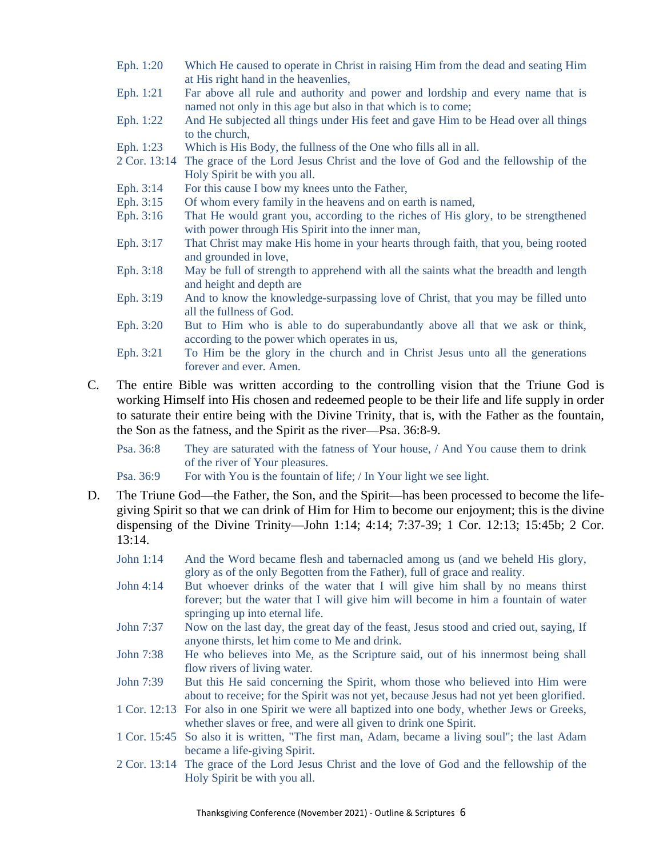- Eph. 1:20 Which He caused to operate in Christ in raising Him from the dead and seating Him at His right hand in the heavenlies,
- Eph. 1:21 Far above all rule and authority and power and lordship and every name that is named not only in this age but also in that which is to come;
- Eph. 1:22 And He subjected all things under His feet and gave Him to be Head over all things to the church,
- Eph. 1:23 Which is His Body, the fullness of the One who fills all in all.
- 2 Cor. 13:14 The grace of the Lord Jesus Christ and the love of God and the fellowship of the Holy Spirit be with you all.
- Eph. 3:14 For this cause I bow my knees unto the Father,
- Eph. 3:15 Of whom every family in the heavens and on earth is named,
- Eph. 3:16 That He would grant you, according to the riches of His glory, to be strengthened with power through His Spirit into the inner man,
- Eph. 3:17 That Christ may make His home in your hearts through faith, that you, being rooted and grounded in love,
- Eph. 3:18 May be full of strength to apprehend with all the saints what the breadth and length and height and depth are
- Eph. 3:19 And to know the knowledge-surpassing love of Christ, that you may be filled unto all the fullness of God.
- Eph. 3:20 But to Him who is able to do superabundantly above all that we ask or think, according to the power which operates in us,
- Eph. 3:21 To Him be the glory in the church and in Christ Jesus unto all the generations forever and ever. Amen.
- C. The entire Bible was written according to the controlling vision that the Triune God is working Himself into His chosen and redeemed people to be their life and life supply in order to saturate their entire being with the Divine Trinity, that is, with the Father as the fountain, the Son as the fatness, and the Spirit as the river—Psa. 36:8-9.

Psa. 36:8 They are saturated with the fatness of Your house, / And You cause them to drink of the river of Your pleasures.

- Psa. 36:9 For with You is the fountain of life; / In Your light we see light.
- D. The Triune God—the Father, the Son, and the Spirit—has been processed to become the lifegiving Spirit so that we can drink of Him for Him to become our enjoyment; this is the divine dispensing of the Divine Trinity—John 1:14; 4:14; 7:37-39; 1 Cor. 12:13; 15:45b; 2 Cor. 13:14.
	- John 1:14 And the Word became flesh and tabernacled among us (and we beheld His glory, glory as of the only Begotten from the Father), full of grace and reality.
	- John 4:14 But whoever drinks of the water that I will give him shall by no means thirst forever; but the water that I will give him will become in him a fountain of water springing up into eternal life.
	- John 7:37 Now on the last day, the great day of the feast, Jesus stood and cried out, saying, If anyone thirsts, let him come to Me and drink.
	- John 7:38 He who believes into Me, as the Scripture said, out of his innermost being shall flow rivers of living water.
	- John 7:39 But this He said concerning the Spirit, whom those who believed into Him were about to receive; for the Spirit was not yet, because Jesus had not yet been glorified.
	- 1 Cor. 12:13 For also in one Spirit we were all baptized into one body, whether Jews or Greeks, whether slaves or free, and were all given to drink one Spirit.
	- 1 Cor. 15:45 So also it is written, "The first man, Adam, became a living soul"; the last Adam became a life-giving Spirit.
	- 2 Cor. 13:14 The grace of the Lord Jesus Christ and the love of God and the fellowship of the Holy Spirit be with you all.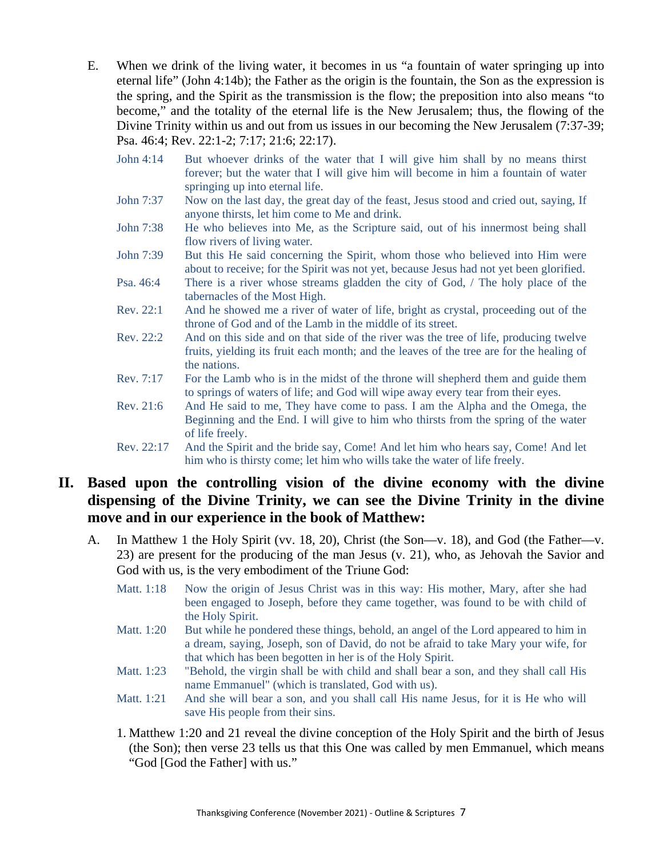- E. When we drink of the living water, it becomes in us "a fountain of water springing up into eternal life" (John 4:14b); the Father as the origin is the fountain, the Son as the expression is the spring, and the Spirit as the transmission is the flow; the preposition into also means "to become," and the totality of the eternal life is the New Jerusalem; thus, the flowing of the Divine Trinity within us and out from us issues in our becoming the New Jerusalem (7:37-39; Psa. 46:4; Rev. 22:1-2; 7:17; 21:6; 22:17).
	- John 4:14 But whoever drinks of the water that I will give him shall by no means thirst forever; but the water that I will give him will become in him a fountain of water springing up into eternal life.
	- John 7:37 Now on the last day, the great day of the feast, Jesus stood and cried out, saying, If anyone thirsts, let him come to Me and drink.
	- John 7:38 He who believes into Me, as the Scripture said, out of his innermost being shall flow rivers of living water.
	- John 7:39 But this He said concerning the Spirit, whom those who believed into Him were about to receive; for the Spirit was not yet, because Jesus had not yet been glorified.
	- Psa. 46:4 There is a river whose streams gladden the city of God, / The holy place of the tabernacles of the Most High.
	- Rev. 22:1 And he showed me a river of water of life, bright as crystal, proceeding out of the throne of God and of the Lamb in the middle of its street.
	- Rev. 22:2 And on this side and on that side of the river was the tree of life, producing twelve fruits, yielding its fruit each month; and the leaves of the tree are for the healing of the nations.
	- Rev. 7:17 For the Lamb who is in the midst of the throne will shepherd them and guide them to springs of waters of life; and God will wipe away every tear from their eyes.
	- Rev. 21:6 And He said to me, They have come to pass. I am the Alpha and the Omega, the Beginning and the End. I will give to him who thirsts from the spring of the water of life freely.
	- Rev. 22:17 And the Spirit and the bride say, Come! And let him who hears say, Come! And let him who is thirsty come; let him who wills take the water of life freely.

### **II. Based upon the controlling vision of the divine economy with the divine dispensing of the Divine Trinity, we can see the Divine Trinity in the divine move and in our experience in the book of Matthew:**

- A. In Matthew 1 the Holy Spirit (vv. 18, 20), Christ (the Son—v. 18), and God (the Father—v. 23) are present for the producing of the man Jesus (v. 21), who, as Jehovah the Savior and God with us, is the very embodiment of the Triune God:
	- Matt. 1:18 Now the origin of Jesus Christ was in this way: His mother, Mary, after she had been engaged to Joseph, before they came together, was found to be with child of the Holy Spirit.
	- Matt. 1:20 But while he pondered these things, behold, an angel of the Lord appeared to him in a dream, saying, Joseph, son of David, do not be afraid to take Mary your wife, for that which has been begotten in her is of the Holy Spirit.
	- Matt. 1:23 "Behold, the virgin shall be with child and shall bear a son, and they shall call His name Emmanuel" (which is translated, God with us).
	- Matt. 1:21 And she will bear a son, and you shall call His name Jesus, for it is He who will save His people from their sins.
	- 1. Matthew 1:20 and 21 reveal the divine conception of the Holy Spirit and the birth of Jesus (the Son); then verse 23 tells us that this One was called by men Emmanuel, which means "God [God the Father] with us."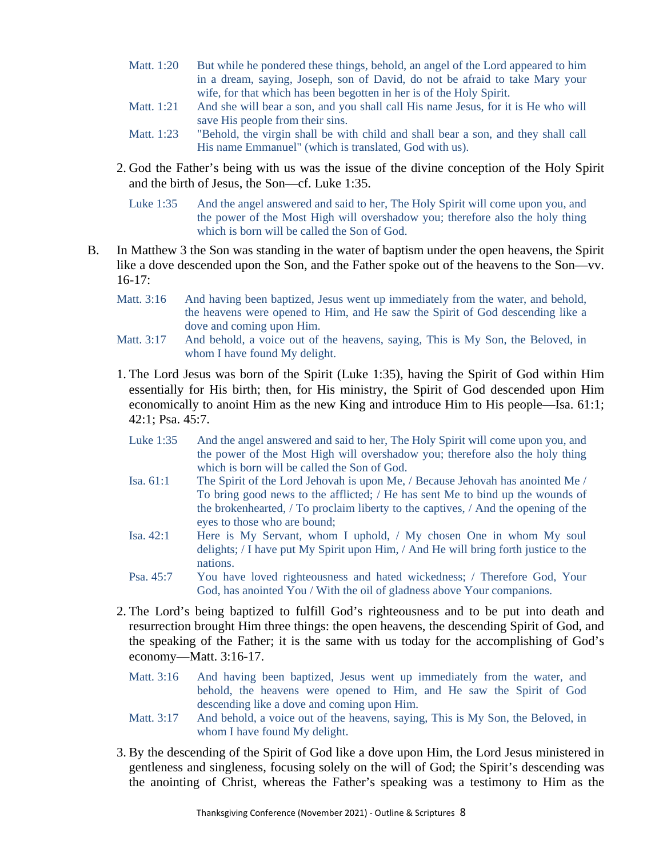- Matt. 1:20 But while he pondered these things, behold, an angel of the Lord appeared to him in a dream, saying, Joseph, son of David, do not be afraid to take Mary your wife, for that which has been begotten in her is of the Holy Spirit.
- Matt. 1:21 And she will bear a son, and you shall call His name Jesus, for it is He who will save His people from their sins.
- Matt. 1:23 "Behold, the virgin shall be with child and shall bear a son, and they shall call His name Emmanuel" (which is translated, God with us).
- 2. God the Father's being with us was the issue of the divine conception of the Holy Spirit and the birth of Jesus, the Son—cf. Luke 1:35.
	- Luke 1:35 And the angel answered and said to her, The Holy Spirit will come upon you, and the power of the Most High will overshadow you; therefore also the holy thing which is born will be called the Son of God.
- B. In Matthew 3 the Son was standing in the water of baptism under the open heavens, the Spirit like a dove descended upon the Son, and the Father spoke out of the heavens to the Son—vv.  $16-17$ :
	- Matt. 3:16 And having been baptized, Jesus went up immediately from the water, and behold, the heavens were opened to Him, and He saw the Spirit of God descending like a dove and coming upon Him.
	- Matt. 3:17 And behold, a voice out of the heavens, saying, This is My Son, the Beloved, in whom I have found My delight.
	- 1. The Lord Jesus was born of the Spirit (Luke 1:35), having the Spirit of God within Him essentially for His birth; then, for His ministry, the Spirit of God descended upon Him economically to anoint Him as the new King and introduce Him to His people—Isa. 61:1; 42:1; Psa. 45:7.
		- Luke 1:35 And the angel answered and said to her, The Holy Spirit will come upon you, and the power of the Most High will overshadow you; therefore also the holy thing which is born will be called the Son of God.
		- Isa. 61:1 The Spirit of the Lord Jehovah is upon Me, / Because Jehovah has anointed Me / To bring good news to the afflicted; / He has sent Me to bind up the wounds of the brokenhearted, / To proclaim liberty to the captives, / And the opening of the eyes to those who are bound;
		- Isa. 42:1 Here is My Servant, whom I uphold, / My chosen One in whom My soul delights; / I have put My Spirit upon Him, / And He will bring forth justice to the nations.
		- Psa. 45:7 You have loved righteousness and hated wickedness; / Therefore God, Your God, has anointed You / With the oil of gladness above Your companions.
	- 2. The Lord's being baptized to fulfill God's righteousness and to be put into death and resurrection brought Him three things: the open heavens, the descending Spirit of God, and the speaking of the Father; it is the same with us today for the accomplishing of God's economy—Matt. 3:16-17.
		- Matt. 3:16 And having been baptized, Jesus went up immediately from the water, and behold, the heavens were opened to Him, and He saw the Spirit of God descending like a dove and coming upon Him.
		- Matt. 3:17 And behold, a voice out of the heavens, saying, This is My Son, the Beloved, in whom I have found My delight.
	- 3. By the descending of the Spirit of God like a dove upon Him, the Lord Jesus ministered in gentleness and singleness, focusing solely on the will of God; the Spirit's descending was the anointing of Christ, whereas the Father's speaking was a testimony to Him as the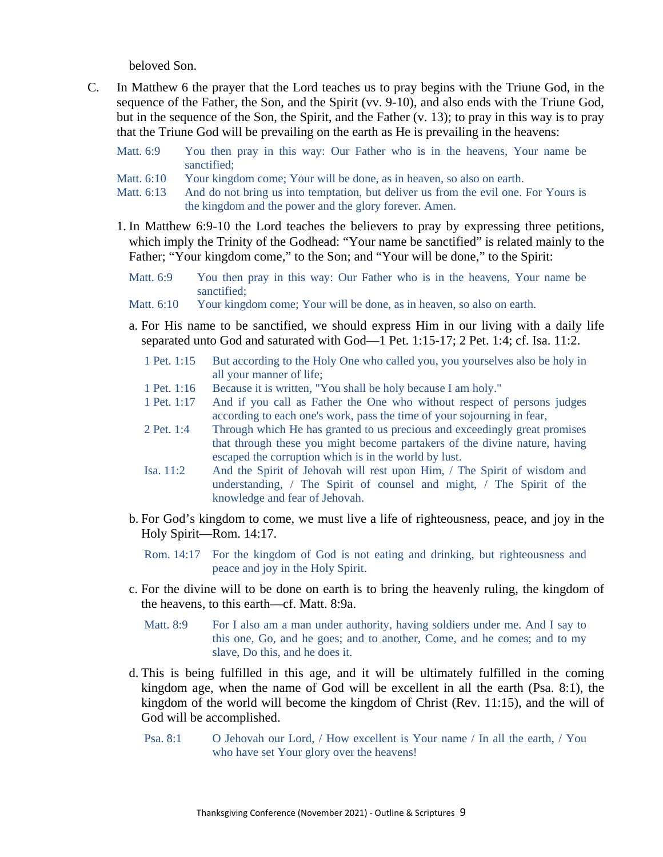beloved Son.

C. In Matthew 6 the prayer that the Lord teaches us to pray begins with the Triune God, in the sequence of the Father, the Son, and the Spirit (vv. 9-10), and also ends with the Triune God, but in the sequence of the Son, the Spirit, and the Father (v. 13); to pray in this way is to pray that the Triune God will be prevailing on the earth as He is prevailing in the heavens:

| Matt. 6:9 |             |  |  |  |  |  | You then pray in this way: Our Father who is in the heavens, Your name be |  |  |
|-----------|-------------|--|--|--|--|--|---------------------------------------------------------------------------|--|--|
|           | sanctified: |  |  |  |  |  |                                                                           |  |  |

- Matt. 6:10 Your kingdom come; Your will be done, as in heaven, so also on earth.
- Matt. 6:13 And do not bring us into temptation, but deliver us from the evil one. For Yours is the kingdom and the power and the glory forever. Amen.
- 1. In Matthew 6:9-10 the Lord teaches the believers to pray by expressing three petitions, which imply the Trinity of the Godhead: "Your name be sanctified" is related mainly to the Father; "Your kingdom come," to the Son; and "Your will be done," to the Spirit:
	- Matt. 6:9 You then pray in this way: Our Father who is in the heavens, Your name be sanctified;
	- Matt.  $6:10$  Your kingdom come; Your will be done, as in heaven, so also on earth.
	- a. For His name to be sanctified, we should express Him in our living with a daily life separated unto God and saturated with God—1 Pet. 1:15-17; 2 Pet. 1:4; cf. Isa. 11:2.
		- 1 Pet. 1:15 But according to the Holy One who called you, you yourselves also be holy in all your manner of life;
		- 1 Pet. 1:16 Because it is written, "You shall be holy because I am holy."
		- 1 Pet. 1:17 And if you call as Father the One who without respect of persons judges according to each one's work, pass the time of your sojourning in fear,
		- 2 Pet. 1:4 Through which He has granted to us precious and exceedingly great promises that through these you might become partakers of the divine nature, having escaped the corruption which is in the world by lust.
		- Isa. 11:2 And the Spirit of Jehovah will rest upon Him, / The Spirit of wisdom and understanding, / The Spirit of counsel and might, / The Spirit of the knowledge and fear of Jehovah.
	- b. For God's kingdom to come, we must live a life of righteousness, peace, and joy in the Holy Spirit—Rom. 14:17.
		- Rom. 14:17 For the kingdom of God is not eating and drinking, but righteousness and peace and joy in the Holy Spirit.
	- c. For the divine will to be done on earth is to bring the heavenly ruling, the kingdom of the heavens, to this earth—cf. Matt. 8:9a.
		- Matt. 8:9 For I also am a man under authority, having soldiers under me. And I say to this one, Go, and he goes; and to another, Come, and he comes; and to my slave, Do this, and he does it.
	- d. This is being fulfilled in this age, and it will be ultimately fulfilled in the coming kingdom age, when the name of God will be excellent in all the earth (Psa. 8:1), the kingdom of the world will become the kingdom of Christ (Rev. 11:15), and the will of God will be accomplished.
		- Psa. 8:1 O Jehovah our Lord, / How excellent is Your name / In all the earth, / You who have set Your glory over the heavens!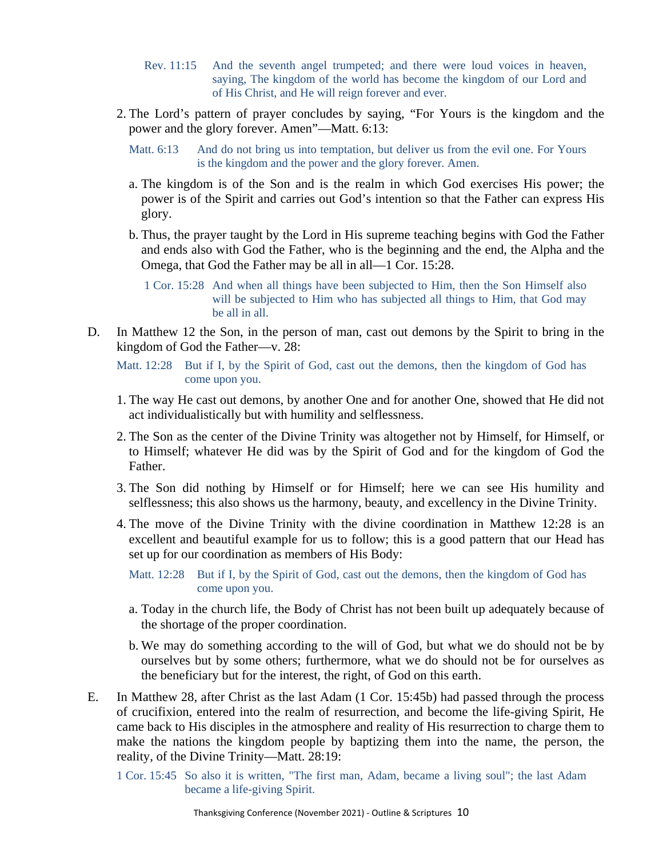- Rev. 11:15 And the seventh angel trumpeted; and there were loud voices in heaven, saying, The kingdom of the world has become the kingdom of our Lord and of His Christ, and He will reign forever and ever.
- 2. The Lord's pattern of prayer concludes by saying, "For Yours is the kingdom and the power and the glory forever. Amen"—Matt. 6:13:
	- Matt. 6:13 And do not bring us into temptation, but deliver us from the evil one. For Yours is the kingdom and the power and the glory forever. Amen.
	- a. The kingdom is of the Son and is the realm in which God exercises His power; the power is of the Spirit and carries out God's intention so that the Father can express His glory.
	- b. Thus, the prayer taught by the Lord in His supreme teaching begins with God the Father and ends also with God the Father, who is the beginning and the end, the Alpha and the Omega, that God the Father may be all in all—1 Cor. 15:28.

1 Cor. 15:28 And when all things have been subjected to Him, then the Son Himself also will be subjected to Him who has subjected all things to Him, that God may be all in all.

- D. In Matthew 12 the Son, in the person of man, cast out demons by the Spirit to bring in the kingdom of God the Father—v. 28:
	- Matt. 12:28 But if I, by the Spirit of God, cast out the demons, then the kingdom of God has come upon you.
	- 1. The way He cast out demons, by another One and for another One, showed that He did not act individualistically but with humility and selflessness.
	- 2. The Son as the center of the Divine Trinity was altogether not by Himself, for Himself, or to Himself; whatever He did was by the Spirit of God and for the kingdom of God the Father.
	- 3. The Son did nothing by Himself or for Himself; here we can see His humility and selflessness; this also shows us the harmony, beauty, and excellency in the Divine Trinity.
	- 4. The move of the Divine Trinity with the divine coordination in Matthew 12:28 is an excellent and beautiful example for us to follow; this is a good pattern that our Head has set up for our coordination as members of His Body:

Matt. 12:28 But if I, by the Spirit of God, cast out the demons, then the kingdom of God has come upon you.

- a. Today in the church life, the Body of Christ has not been built up adequately because of the shortage of the proper coordination.
- b. We may do something according to the will of God, but what we do should not be by ourselves but by some others; furthermore, what we do should not be for ourselves as the beneficiary but for the interest, the right, of God on this earth.
- E. In Matthew 28, after Christ as the last Adam (1 Cor. 15:45b) had passed through the process of crucifixion, entered into the realm of resurrection, and become the life-giving Spirit, He came back to His disciples in the atmosphere and reality of His resurrection to charge them to make the nations the kingdom people by baptizing them into the name, the person, the reality, of the Divine Trinity—Matt. 28:19:

1 Cor. 15:45 So also it is written, "The first man, Adam, became a living soul"; the last Adam became a life-giving Spirit.